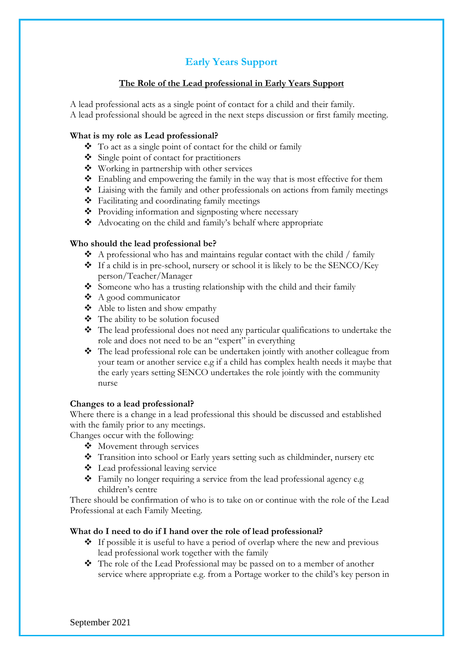# **Early Years Support**

## **The Role of the Lead professional in Early Years Support**

A lead professional acts as a single point of contact for a child and their family. A lead professional should be agreed in the next steps discussion or first family meeting.

# **What is my role as Lead professional?**

- ❖ To act as a single point of contact for the child or family
- ❖ Single point of contact for practitioners
- ❖ Working in partnership with other services
- ❖ Enabling and empowering the family in the way that is most effective for them
- ❖ Liaising with the family and other professionals on actions from family meetings
- ❖ Facilitating and coordinating family meetings
- ❖ Providing information and signposting where necessary
- ❖ Advocating on the child and family's behalf where appropriate

# **Who should the lead professional be?**

- ❖ A professional who has and maintains regular contact with the child / family
- ❖ If a child is in pre-school, nursery or school it is likely to be the SENCO/Key person/Teacher/Manager
- ❖ Someone who has a trusting relationship with the child and their family
- ❖ A good communicator
- ❖ Able to listen and show empathy
- ❖ The ability to be solution focused
- ❖ The lead professional does not need any particular qualifications to undertake the role and does not need to be an "expert" in everything
- ❖ The lead professional role can be undertaken jointly with another colleague from your team or another service e.g if a child has complex health needs it maybe that the early years setting SENCO undertakes the role jointly with the community nurse

### **Changes to a lead professional?**

Where there is a change in a lead professional this should be discussed and established with the family prior to any meetings.

Changes occur with the following:

- ❖ Movement through services
- ❖ Transition into school or Early years setting such as childminder, nursery etc
- ❖ Lead professional leaving service
- ❖ Family no longer requiring a service from the lead professional agency e.g children's centre

There should be confirmation of who is to take on or continue with the role of the Lead Professional at each Family Meeting.

### **What do I need to do if I hand over the role of lead professional?**

- ❖ If possible it is useful to have a period of overlap where the new and previous lead professional work together with the family
- ❖ The role of the Lead Professional may be passed on to a member of another service where appropriate e.g. from a Portage worker to the child's key person in